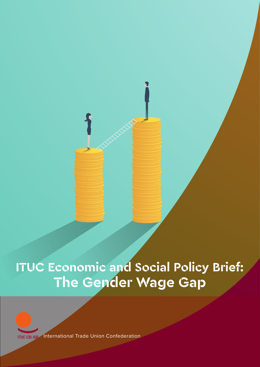**ITUC Economic and Social Policy Brief: The Gender Wage Gap**



International Trade Union Confederation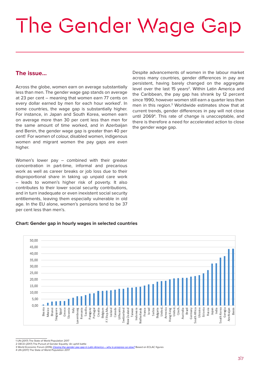# The Gender Wage Gap

## **The issue…**

Across the globe, women earn on average substantially less than men. The gender wage gap stands on average at 23 per cent – meaning that women earn 77 cents on every dollar earned by men for each hour worked<sup>1</sup>. In some countries, the wage gap is substantially higher. For instance, in Japan and South Korea, women earn on average more than 30 per cent less than men for the same amount of time worked, and in Azerbaijan and Benin, the gender wage gap is greater than 40 per cent! For women of colour, disabled women, indigenous women and migrant women the pay gaps are even higher.

Women's lower pay – combined with their greater concentration in part-time, informal and precarious work as well as career breaks or job loss due to their disproportional share in taking up unpaid care work – leads to women's higher risk of poverty. It also contributes to their lower social security contributions, and in turn inadequate or even inexistent social security entitlements, leaving them especially vulnerable in old age. In the EU alone, women's pensions tend to be 37 per cent less than men's.

Despite advancements of women in the labour market across many countries, gender differences in pay are persistent, having barely changed on the aggregate level over the last 15 years<sup>2</sup>. Within Latin America and the Caribbean, the pay gap has shrank by 12 percent since 1990, however women still earn a quarter less than men in this region.3 Worldwide estimates show that at current trends, gender differences in pay will not close until 20694 . This rate of change is unacceptable, and there is therefore a need for accelerated action to close the gender wage gap.

#### **Chart: Gender gap in hourly wages in selected countries**



1 UN (2017) The State of World Population 2017

2 OECD (2017) The Pursuit of Gender Equality: An uphill battle

3 World Economic Forum (2016) <u>[Closing the gender pay gap in Latin America – why is progress so slow?](https://www.weforum.org/agenda/2016/03/closing-the-gender-pay-gap-in-latin-america-why-is-progress-so-slow)</u> Based on ECLAC figures<br>4 UN (2017) The State of World Population 2017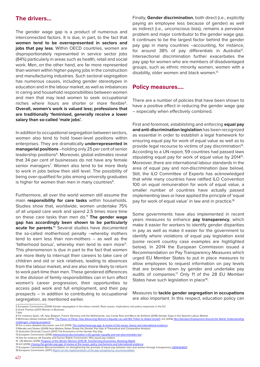#### **The drivers…**

The gender wage gap is a product of numerous and interconnected factors. It is due, in part, to the fact that **women tend to be overrepresented in sectors and jobs that pay less**. Within OECD countries, women are disproportionately represented in service sector jobs (84%) particularly in areas such as health, retail and social work. Men, on the other hand, are far more represented than women within higher-paying jobs in the construction and manufacturing industries. Such sectoral segregation has numerous causes, including gender stereotypes in education and in the labour market, as well as imbalances in caring and household responsibilities between women and men that may lead women to seek occupational niches where hours are shorter or more flexible<sup>5</sup>. **Overall, women's work is valued less; professions that are traditionally 'feminised, generally receive a lower salary than so-called 'male jobs'.**

In addition to occupational segregation between sectors, women also tend to hold lower-level positions within enterprises. They are dramatically **underrepresented in managerial positions** –holding only 25 per cent of senior leadership positions<sup>6</sup>. Moreover, global estimates reveal that 34 per cent of businesses do not have any female senior managers<sup>7</sup>. Women also tend to be more likely to work in jobs below their skill level. The possibility of being over-qualified for jobs among university graduates is higher for women than men in many countries<sup>8</sup>.

Furthermore, all over the world women still assume the main **responsibility for care tasks** within households. Studies show that, worldwide, women undertake 75% of all unpaid care work and spend 2.5 times more time on these care tasks than men do.9 **The gender wage gap has accordingly been shown to be particularly**  acute for parents.<sup>10</sup> Several studies have documented the so-called motherhood penalty –whereby mothers tend to earn less than non-mothers – as well as the 'fatherhood bonus', whereby men tend to earn more<sup>11</sup>. This phenomenon is due in part to the fact that women are more likely to interrupt their careers to take care of children and old or sick relatives, leading to absences from the labour market, and are also more likely to return to work part-time than men. These gendered differences in the division of family responsibilities can in turn affect women's career progression, their opportunities to access paid work and full employment, and their pay prospects – in addition to contributing to occupational segregation, as mentioned earlier.

Finally, **Gender discrimination**, both direct (i.e., explicitly paying an employee less because of gender) as well as indirect (i.e., unconscious bias), remains a pervasive problem and major contributor to the gender wage gap. It continues to be the largest factor behind the gender pay gap in many countries –accounting, for instance, for around 38% of pay differentials in Australia<sup>12</sup>. Intersectional discrimination further exacerbates the pay gap for women who are members of disadvantaged groups, such as ethnic minority women, women with a disability, older women and black women.<sup>13</sup>

#### **Policy measures….**

There are a number of policies that have been shown to have a positive effect in reducing the gender wage gap – especially when effectively combined.

First and foremost, establishing and enforcing **equal pay and anti-discrimination legislation** has been recognized as essential in order to establish a legal framework for ensuring equal pay for work of equal value as well as to provide legal recourse to victims of pay discrimination<sup>14</sup>. According to a UN report, 59 countries had passed laws stipulating equal pay for work of equal value by 2014<sup>15</sup>. Moreover, there are international labour standards in the area of equal pay and non-discrimination (see below). Still, the ILO Committee of Experts has acknowledged that while many countries have ratified ILO Convention 100 on equal remuneration for work of equal value, a smaller number of countries have actually passed implementing laws or have applied the principle of 'equal pay for work of equal value' in law and in practice.<sup>16</sup>

Some governments have also implemented in recent years measures to enhance **pay transparency**, which make it easier for workers to identify gender disparities in pay as well as make it easier for the government to identify where violations of equal pay legislation exist (some recent country case examples are highlighted below). In 2014 the European Commission issued a Recommendation on Pay Transparency Measures which urged EU Member States to put in place measures to allow employees to request information on pay levels that are broken down by gender and undertake pay audits of companies.<sup>17</sup> Only 11 of the 28 EU Member States have such legislation in place<sup>18</sup>.

Measures to **tackle gender segregation in occupations** are also important. In this respect, education policy can

- 11 Mandel and Shalev (2009) How Welfare States Shape the Gender Pay Gap: A Theoretical and Comparative Analysis
- 12 Australian Diversity Council (2017) The Economics of the Gender Pay Gap
- 13 European Commission (2016) [Intersectional discrimination in EU gender equality and non-discrimination law](https://www.equalitylaw.eu/downloads/3850-intersectional-discrimination-in-eu-gender-equality-and-non-discrimination-law-pdf-731-kb) 14 See for instance UK Equality and Human Rights Commission: Why equal pay matters
- 15 UN Women (2015) [Progress of the World's Women 2015-16: Transforming Economies, Realizing Rights](http://www.unwomen.org/-/media/headquarters/attachments/sections/library/publications/2015/poww-2015-2016-en.pdf?la=en&vs=0) 16 ILO (2016) [Closing the gender pay gap: A review of the issues, policy mechanisms and international evidence](http://www.ilo.org/wcmsp5/groups/public/---dgreports/---gender/documents/publication/wcms_540889.pdf)
- 17 European Commission Recommendation on strengthening the principle of equal pay between men and women through transparency ([2014/124/EU](https://eur-lex.europa.eu/legal-content/EN/TXT/PDF/?uri=CELEX:32014H0124&from=EN))

<sup>5</sup> European Commission (2009) Gender segregation in the labour market: Root causes, implications and policy responses in the EU 6 Grant Thorton (2017) Women in Business

<sup>7</sup> Ibid

<sup>8</sup> For instance Spain, UK, Italy, Belgium, France Germany and the Netherlands, see Conde Ruiz and Marra de Artíñano (2016) Gender Gaps in the Spanish Labour Market

<sup>9</sup> McKinsey Global Institute (2015) [The Power of Parity: How Advancing Women's Equality can add \\$12 Trillion to Global Growth](https://www.mckinsey.com/~/media/McKinsey/Global Themes/Employment and Growth/How advancing womens equality can add 12 trillion to global growth/MGI Power of parity_Full report_September 2015.ashx), ILO (2016) Non-Standard Employment Around the World: Understanding shaping prosp

<sup>10</sup> For a more detailed discussion, see ILO (2015) [The motherhood pay gap: A review of the issues, theory and international evidence](http://www.ilo.org/global/publications/working-papers/WCMS_348041/lang--en/index.htm)

<sup>18</sup> European Commission (2017) [Report on the implementation of the pay transparency recommendation](https://eur-lex.europa.eu/legal-content/EN/TXT/?uri=celex%3A32014H0124)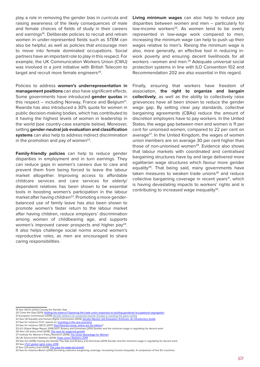play a role in removing the gender bias in curricula and raising awareness of the likely consequences of male and female choices of fields of study in their careers and earnings<sup>19</sup>. Deliberate policies to recruit and retrain women in under-represented fields such as STEM can also be helpful, as well as policies that encourage men to move into female dominated occupations. Social partners have an important role to play in this respect. For example, the UK Communication Workers Union (CWU) was involved in a joint initiative with British Telecom to target and recruit more female engineers<sup>20</sup>.

Policies to address **women's underrepresentation in management positions** can also have significant effects. Some governments have introduced **gender quotas** in this respect  $-$  including Norway, France and Belgium<sup>21</sup>. Rwanda has also introduced a 30% quota for women in public decision-making bodies, which has contributed to it having the highest levels of women in leadership in the world (see country-case example below). Moreover, setting **gender-neutral job evaluation and classification systems** can also help to address indirect discrimination in the promotion and pay of women $22$ .

**Family-friendly policies** can help to reduce gender disparities in employment and in turn earnings. They can reduce gaps in women's careers due to care and prevent them from being forced to leave the labour market altogether. Improving access to affordable childcare services and care services for elderly/ dependent relatives has been shown to be essential tools in boosting women's participation in the labour market after having children<sup>23</sup>. Promoting a more genderbalanced use of family leave has also been shown to promote women's faster return to the labour market after having children, reduce employers' discrimination among women of childbearing age, and supports women's improved career prospects and higher pay<sup>24</sup>. It also helps challenge social norms around women's reproductive roles, as men are encouraged to share caring responsibilities.

**Living minimum wages** can also help to reduce pay disparities between women and men – particularly for low-income workers<sup>25</sup>. As women tend to be overly represented in low-wage work compared to men, increasing the minimum wage can help to push up their wages relative to men's. Raising the minimum wage is also, more generally, an effective tool in reducing inwork poverty and ensuring decent livelihoods for all workers –women and men.26 Adequate universal social protection systems in line with ILO Convention 102 and Recommendation 202 are also essential in this regard.

Finally, ensuring that workers have freedom of association, **the right to organize and bargain collectively**, as well as the ability to collectively raise grievances have all been shown to reduce the gender wage gap. By setting clear pay standards, collective bargaining agreements (CBAs) reduce the amount of discretion employers have to pay workers. In the United States, the wage gap between men and women is 11 per cent for unionised women, compared to 22 per cent on average<sup>27</sup>. In the United Kingdom, the wages of women union members are on average 30 per cent higher than those of non-unionised women<sup>28</sup>. Evidence also shows that labour markets with coordinated and centralised bargaining structures have by and large delivered more egalitarian wage structures which favour more gender equality<sup>29</sup>. That being said, many governments have taken measures to weaken trade unions $30$  and reduce collective bargaining coverage in recent years<sup>31</sup>, which is having devastating impacts to workers' rights and is contributing to increased wage inequality<sup>32</sup>.

- 22 See UK Equality and Human Rights Commission (2014) [Gender-Neutral Job Evaluation Schemes: An Introductory Guide](https://www.equalityhumanrights.com/sites/default/files/gd.13.101-1_gender_neutral_jes-ig_18-03-14_final.pdf)
- 
- 23 See for instance ITUC reports on <u>[investing in the care economy](https://www.ituc-csi.org/investing-in-the-care-economy)</u><br>24 See for instance OECD (2017) <u>[Paid Parental Leave, where are the fathers](http://www.oecd.org/policy-briefs/parental-leave-where-are-the-fathers.pdf)</u>?
- 25 ILO Global Wage Report 2016/2017; Rubery and Grimshaw (2011) Gender and the minimum wage in regulating for decent work<br>26 See L20 policy brief (2018) The case for wage-led growth
- 25 IEC Crout Wege Report Entertainment 26 See L20 policy brief (2018) The case for w

31 See L20 policy brief (2018) The case

<sup>19</sup> See OECD (2012) Closing the Gender Gap

<sup>20</sup> Close the Gap (2013) Shifting the balance? Exploring the trade union responses to tackling ge 21 European Commission (2016) [Gender balance on corporate boards: Europe is cracking the glass ceiling](C:\Users\astor\Downloads\WomenonBoards.pdf)

<sup>27</sup> Institute for Women's Policy Research (2016) [The Union Advantage for Women](http://www.iwpr.org/publications/pubs/the-union-advantage-for-women#sthash.VaUwff5l.dpuf) 28 UK Government Statistics (2014) [Trade Union Statistics 2014](https://www.gov.uk/government/statistics/trade-union-statistics-2014)

<sup>29</sup> See ILO (2016) Closing the Gender Pay Gap and Rubery and Grimshaw (2011) Gender and the minimum wage in regulating for decent work 30 See [ITUC global rights index 2018](https://www.ituc-csi.org/IMG/pdf/ituc-global-rights-index-2018-en-final-2-2.pdf)

<sup>32</sup> See for instance Bosch (2015) Shrinking collective bargaining coverage, increasing income inequality: A comparison of five EU countries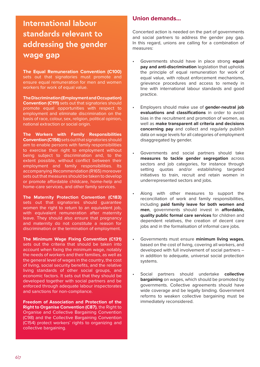# **International labour standards relevant to addressing the gender wage gap**

**The Equal Remuneration Convention (C100)**  sets out that signatories must promote and ensure equal remuneration for men and women workers for work of equal value.

**The Discrimination (Employment and Occupation) Convention (C111)** sets out that signatories should promote equal opportunities with respect to employment and eliminate discrimination on the basis of race, colour, sex, religion, political opinion, national extraction or social origin.

**The Workers with Family Responsibilities Convention (C156)** sets out that signatories should aim to enable persons with family responsibilities to exercise their right to employment without being subject to discrimination and, to the extent possible, without conflict between their employment and family responsibilities. Its accompanying Recommendation (R165) moreover sets out that measures should be taken to develop or promote affordable childcare, home-help and home-care services, and other family services.

**The Maternity Protection Convention (C183)** sets out that signatories should guarantee women the right to return to an equivalent job, with equivalent remuneration after maternity leave. They should also ensure that pregnancy and maternity do not constitute a reason for discrimination or the termination of employment.

**The Minimum Wage Fixing Convention (C131)** sets out the criteria that should be taken into account when fixing the minimum wage, notably the needs of workers and their families, as well as the general level of wages in the country, the cost of living, social security benefits, and the relative living standards of other social groups, and economic factors. It sets out that they should be developed together with social partners and be enforced through adequate labour inspectorates and sanctions for non-compliance.

**Freedom of Association and Protection of the Right to Organise Convention (C87)**, the Right to Organise and Collective Bargaining Convention (C98) and the Collective Bargaining Convention (C154) protect workers' rights to organizing and collective bargaining.

## **Union demands…**

Concerted action is needed on the part of governments and social partners to address the gender pay gap. In this regard, unions are calling for a combination of measures:

- Governments should have in place strong **equal pay and anti-discrimination** legislation that upholds the principle of equal remuneration for work of equal value, with robust enforcement mechanisms, grievance procedures and access to remedy in line with international labour standards and good practice.
- Employers should make use of **gender-neutral job evaluations and classifications** in order to avoid bias in the recruitment and promotion of women, as well as **make transparent all criteria and decisions concerning pay** and collect and regularly publish data on wage levels for all categories of employment disaggregated by gender.
	- Governments and social partners should take **measures to tackle gender segregation** across sectors and job categories, for instance through setting quotas and/or establishing targeted initiatives to train, recruit and retain women in underrepresented sectors and jobs.
- Along with other measures to support the reconciliation of work and family responsibilities, including **paid family leave for both women and men**, governments should invest in **affordable, quality public formal care services** for children and dependent relatives, the creation of decent care jobs and in the formalisation of informal care jobs.
- Governments must ensure **minimum living wages**, based on the cost of living, covering all workers, and developed with full involvement of social partners – in addition to adequate, universal social protection systems.
	- Social partners should undertake **collective bargaining** on wages, which should be promoted by governments. Collective agreements should have wide coverage and be legally binding. Government reforms to weaken collective bargaining must be immediately reconsidered.